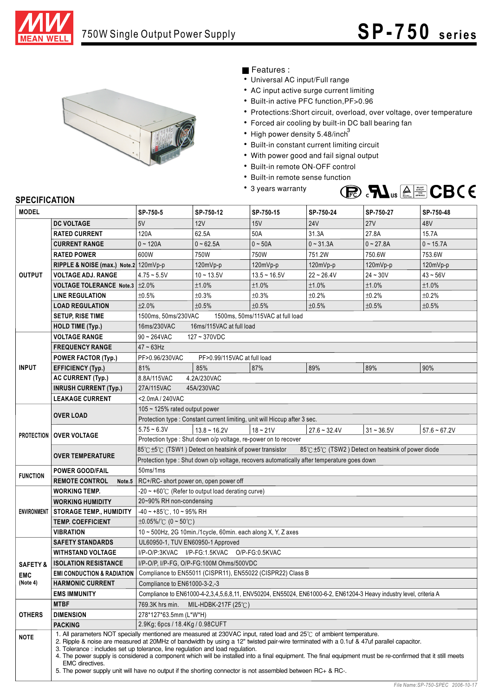



## Features :

- Universal AC input/Full range
- AC input active surge current limiting
- Built-in active PFC function,PF>0.96
- Protections: Short circuit, overload, over voltage, over temperature
- Forced air cooling by built-in DC ball bearing fan
- High power density 5.48/inch<sup>3</sup>
- Built-in constant current limiting circuit
- With power good and fail signal output
- Built-in remote ON-OFF control
- Built-in remote sense function
- 3 years warranty



## **SPECIFICATION**

| <b>MODEL</b>        |                                       | SP-750-5                                                                                                                                                                                                                                                                                                                                                                                                                                                                                              | SP-750-12      | SP-750-15      | SP-750-24      | SP-750-27    | SP-750-48      |
|---------------------|---------------------------------------|-------------------------------------------------------------------------------------------------------------------------------------------------------------------------------------------------------------------------------------------------------------------------------------------------------------------------------------------------------------------------------------------------------------------------------------------------------------------------------------------------------|----------------|----------------|----------------|--------------|----------------|
|                     | <b>DC VOLTAGE</b>                     | 5V                                                                                                                                                                                                                                                                                                                                                                                                                                                                                                    | 12V            | 15V            | <b>24V</b>     | <b>27V</b>   | 48V            |
| <b>OUTPUT</b>       | <b>RATED CURRENT</b>                  | 120A                                                                                                                                                                                                                                                                                                                                                                                                                                                                                                  | 62.5A          | 50A            | 31.3A          | 27.8A        | 15.7A          |
|                     | <b>CURRENT RANGE</b>                  | $0 - 120A$                                                                                                                                                                                                                                                                                                                                                                                                                                                                                            | $0 - 62.5A$    | $0 - 50A$      | $0 - 31.3A$    | $0 - 27.8A$  | $0 - 15.7A$    |
|                     | <b>RATED POWER</b>                    | 600W                                                                                                                                                                                                                                                                                                                                                                                                                                                                                                  | 750W           | 750W           | 751.2W         | 750.6W       | 753.6W         |
|                     | RIPPLE & NOISE (max.) Note.2 120mVp-p |                                                                                                                                                                                                                                                                                                                                                                                                                                                                                                       | $120mVp-p$     | $120mVp-p$     | $120mVp-p$     | 120mVp-p     | 120mVp-p       |
|                     | <b>VOLTAGE ADJ. RANGE</b>             | $4.75 - 5.5V$                                                                                                                                                                                                                                                                                                                                                                                                                                                                                         | $10 - 13.5V$   | $13.5 - 16.5V$ | $22 - 26.4V$   | $24 - 30V$   | $43 - 56V$     |
|                     | VOLTAGE TOLERANCE Note.3 ±2.0%        |                                                                                                                                                                                                                                                                                                                                                                                                                                                                                                       | ±1.0%          | ±1.0%          | ±1.0%          | ±1.0%        | ±1.0%          |
|                     | <b>LINE REGULATION</b>                | ±0.5%                                                                                                                                                                                                                                                                                                                                                                                                                                                                                                 | ±0.3%          | ±0.3%          | ±0.2%          | ±0.2%        | ±0.2%          |
|                     | <b>LOAD REGULATION</b>                | ±2.0%                                                                                                                                                                                                                                                                                                                                                                                                                                                                                                 | ±0.5%          | ±0.5%          | ±0.5%          | ±0.5%        | ±0.5%          |
|                     | <b>SETUP, RISE TIME</b>               | 1500ms, 50ms/230VAC<br>1500ms, 50ms/115VAC at full load                                                                                                                                                                                                                                                                                                                                                                                                                                               |                |                |                |              |                |
|                     | <b>HOLD TIME (Typ.)</b>               | 16ms/230VAC<br>16ms/115VAC at full load                                                                                                                                                                                                                                                                                                                                                                                                                                                               |                |                |                |              |                |
|                     | <b>VOLTAGE RANGE</b>                  | $90 - 264$ VAC<br>127~370VDC                                                                                                                                                                                                                                                                                                                                                                                                                                                                          |                |                |                |              |                |
|                     | <b>FREQUENCY RANGE</b>                | $47 - 63$ Hz                                                                                                                                                                                                                                                                                                                                                                                                                                                                                          |                |                |                |              |                |
|                     | <b>POWER FACTOR (Typ.)</b>            | PF>0.96/230VAC<br>PF>0.99/115VAC at full load                                                                                                                                                                                                                                                                                                                                                                                                                                                         |                |                |                |              |                |
| <b>INPUT</b>        | <b>EFFICIENCY (Typ.)</b>              | 81%                                                                                                                                                                                                                                                                                                                                                                                                                                                                                                   | 85%            | 87%            | 89%            | 89%          | 90%            |
|                     | <b>AC CURRENT (Typ.)</b>              | 8.8A/115VAC<br>4.2A/230VAC                                                                                                                                                                                                                                                                                                                                                                                                                                                                            |                |                |                |              |                |
|                     | <b>INRUSH CURRENT (Typ.)</b>          | 27A/115VAC<br>45A/230VAC                                                                                                                                                                                                                                                                                                                                                                                                                                                                              |                |                |                |              |                |
|                     | <b>LEAKAGE CURRENT</b>                | <2.0mA / 240VAC                                                                                                                                                                                                                                                                                                                                                                                                                                                                                       |                |                |                |              |                |
| <b>PROTECTION</b>   |                                       | 105 $\sim$ 125% rated output power                                                                                                                                                                                                                                                                                                                                                                                                                                                                    |                |                |                |              |                |
|                     | <b>OVER LOAD</b>                      | Protection type : Constant current limiting, unit will Hiccup after 3 sec.                                                                                                                                                                                                                                                                                                                                                                                                                            |                |                |                |              |                |
|                     | <b>OVER VOLTAGE</b>                   | $5.75 - 6.3V$                                                                                                                                                                                                                                                                                                                                                                                                                                                                                         | $13.8 - 16.2V$ | $18 - 21V$     | $27.6 - 32.4V$ | $31 - 36.5V$ | $57.6 - 67.2V$ |
|                     |                                       | Protection type : Shut down o/p voltage, re-power on to recover                                                                                                                                                                                                                                                                                                                                                                                                                                       |                |                |                |              |                |
|                     |                                       | 85℃±5℃ (TSW1) Detect on heatsink of power transistor<br>85℃ ±5℃ (TSW2) Detect on heatsink of power diode                                                                                                                                                                                                                                                                                                                                                                                              |                |                |                |              |                |
|                     | <b>OVER TEMPERATURE</b>               | Protection type : Shut down o/p voltage, recovers automatically after temperature goes down                                                                                                                                                                                                                                                                                                                                                                                                           |                |                |                |              |                |
| <b>FUNCTION</b>     | <b>POWER GOOD/FAIL</b>                | 50ms/1ms                                                                                                                                                                                                                                                                                                                                                                                                                                                                                              |                |                |                |              |                |
|                     | <b>REMOTE CONTROL</b>                 | Note.5   $RC+/RC$ - short power on, open power off                                                                                                                                                                                                                                                                                                                                                                                                                                                    |                |                |                |              |                |
| <b>ENVIRONMENT</b>  | <b>WORKING TEMP.</b>                  | -20 ~ +60 $\degree$ C (Refer to output load derating curve)                                                                                                                                                                                                                                                                                                                                                                                                                                           |                |                |                |              |                |
|                     | <b>WORKING HUMIDITY</b>               | 20~90% RH non-condensing                                                                                                                                                                                                                                                                                                                                                                                                                                                                              |                |                |                |              |                |
|                     | <b>STORAGE TEMP., HUMIDITY</b>        | $-40 \sim +85^{\circ}$ C, 10 ~ 95% RH                                                                                                                                                                                                                                                                                                                                                                                                                                                                 |                |                |                |              |                |
|                     | <b>TEMP. COEFFICIENT</b>              | $\pm 0.05\%$ (0 ~ 50°C)                                                                                                                                                                                                                                                                                                                                                                                                                                                                               |                |                |                |              |                |
|                     | <b>VIBRATION</b>                      | 10~500Hz, 2G 10min./1cycle, 60min. each along X, Y, Z axes                                                                                                                                                                                                                                                                                                                                                                                                                                            |                |                |                |              |                |
|                     | <b>SAFETY STANDARDS</b>               | UL60950-1, TUV EN60950-1 Approved                                                                                                                                                                                                                                                                                                                                                                                                                                                                     |                |                |                |              |                |
|                     | <b>WITHSTAND VOLTAGE</b>              | I/P-O/P:3KVAC I/P-FG:1.5KVAC O/P-FG:0.5KVAC                                                                                                                                                                                                                                                                                                                                                                                                                                                           |                |                |                |              |                |
| <b>SAFETY &amp;</b> | <b>ISOLATION RESISTANCE</b>           | I/P-O/P, I/P-FG, O/P-FG:100M Ohms/500VDC                                                                                                                                                                                                                                                                                                                                                                                                                                                              |                |                |                |              |                |
| <b>EMC</b>          | <b>EMI CONDUCTION &amp; RADIATION</b> | Compliance to EN55011 (CISPR11), EN55022 (CISPR22) Class B                                                                                                                                                                                                                                                                                                                                                                                                                                            |                |                |                |              |                |
| (Note 4)            | <b>HARMONIC CURRENT</b>               | Compliance to EN61000-3-2,-3                                                                                                                                                                                                                                                                                                                                                                                                                                                                          |                |                |                |              |                |
|                     | <b>EMS IMMUNITY</b>                   | Compliance to EN61000-4-2,3,4,5,6,8,11, ENV50204, EN55024, EN61000-6-2, EN61204-3 Heavy industry level, criteria A                                                                                                                                                                                                                                                                                                                                                                                    |                |                |                |              |                |
| <b>OTHERS</b>       | <b>MTBF</b>                           | 769.3K hrs min.<br>MIL-HDBK-217F (25 $\degree$ C)                                                                                                                                                                                                                                                                                                                                                                                                                                                     |                |                |                |              |                |
|                     | <b>DIMENSION</b>                      | 278*127*63.5mm (L*W*H)                                                                                                                                                                                                                                                                                                                                                                                                                                                                                |                |                |                |              |                |
|                     | <b>PACKING</b>                        | 2.9Kg; 6pcs / 18.4Kg / 0.98CUFT<br>1. All parameters NOT specially mentioned are measured at 230VAC input, rated load and 25°C of ambient temperature.                                                                                                                                                                                                                                                                                                                                                |                |                |                |              |                |
| <b>NOTE</b>         | EMC directives.                       | 2. Ripple & noise are measured at 20MHz of bandwidth by using a 12" twisted pair-wire terminated with a 0.1uf & 47uf parallel capacitor.<br>3. Tolerance: includes set up tolerance, line regulation and load regulation.<br>4. The power supply is considered a component which will be installed into a final equipment. The final equipment must be re-confirmed that it still meets<br>5. The power supply unit will have no output if the shorting connector is not assembled between RC+ & RC-. |                |                |                |              |                |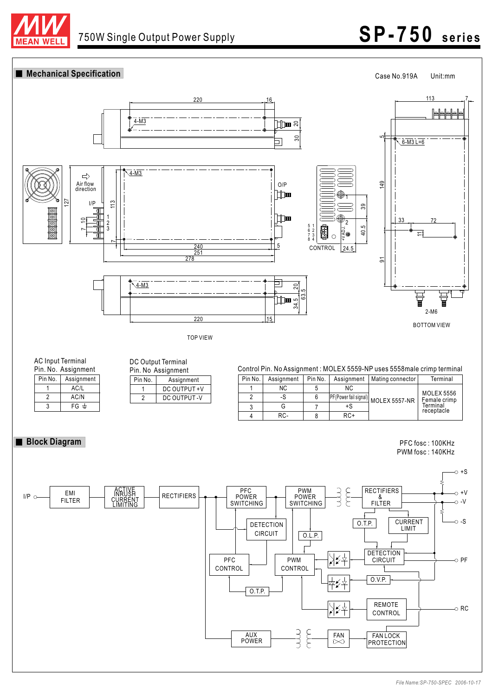